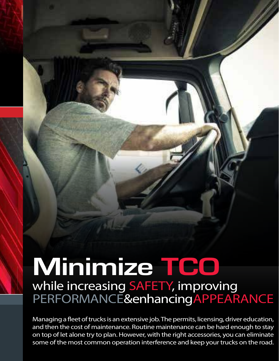# Minimize TCO while increasing SAFETY, improving PERFORMANCE&enhancingAPPEARANCE

Managing a fleet of trucks is an extensive job. The permits, licensing, driver education, and then the cost of maintenance. Routine maintenance can be hard enough to stay on top of let alone try to plan. However, with the right accessories, you can eliminate some of the most common operation interference and keep your trucks on the road.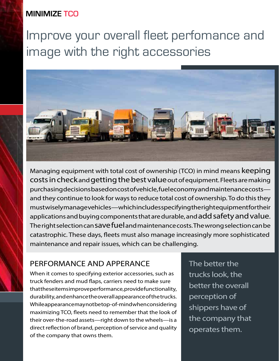### MINIMIZE TCO

## Improve your overall fleet perfomance and image with the right accessories



Managing equipment with total cost of ownership (TCO) in mind means keeping costs in check and getting the best value out of equipment. Fleets are making purchasing decisions based on cost of vehicle, fuel economy and maintenance costs and they continue to look for ways to reduce total cost of ownership. To do this they must wisely manage vehicles—which includes specifying the right equipment for their applications and buying components that are durable, and add safety and value. The right selection can save fuel and maintenance costs. The wrong selection can be catastrophic. These days, fleets must also manage increasingly more sophisticated maintenance and repair issues, which can be challenging.

#### PERFORMANCE AND APPERANCE

When it comes to specifying exterior accessories, such as truck fenders and mud flaps, carriers need to make sure that these items improve performance, provide functionality, durability, and enhance the overall appearance of the trucks. While appearance may not be top-of-mind when considering maximizing TCO, fleets need to remember that the look of their over-the-road assets—right down to the wheels—is a direct reflection of brand, perception of service and quality of the company that owns them.

The better the trucks look, the better the overall perception of shippers have of the company that operates them.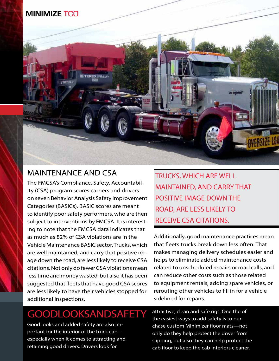

### MAINTENANCE AND CSA

The FMCSA's Compliance, Safety, Accountability (CSA) program scores carriers and drivers on seven Behavior Analysis Safety Improvement Categories (BASICs). BASIC scores are meant to identify poor safety performers, who are then subject to interventions by FMCSA. It is interesting to note that the FMCSA data indicates that as much as 82% of CSA violations are in the Vehicle Maintenance BASIC sector. Trucks, which are well maintained, and carry that positive image down the road, are less likely to receive CSA citations. Not only do fewer CSA violations mean less time and money wasted, but also it has been suggested that fleets that have good CSA scores are less likely to have their vehicles stopped for additional inspections.

TRUCKS, WHICH ARE WELL MAINTAINED, AND CARRY THAT POSITIVE IMAGE DOWN THE ROAD, ARE LESS LIKELY TO RECEIVE CSA CITATIONS.

Additionally, good maintenance practices mean that fleets trucks break down less often. That makes managing delivery schedules easier and helps to eliminate added maintenance costs related to unscheduled repairs or road calls, and can reduce other costs such as those related to equipment rentals, adding spare vehicles, or rerouting other vehicles to fill in for a vehicle sidelined for repairs.

## GOODLOOKSANDSAFETY

Good looks and added safety are also important for the interior of the truck cab especially when it comes to attracting and retaining good drivers. Drivers look for

attractive, clean and safe rigs. One the of the easiest ways to add safety is to purchase custom Minimizer floor mats-not only do they help protect the driver from slipping, but also they can help protect the cab floor to keep the cab interiors cleaner.